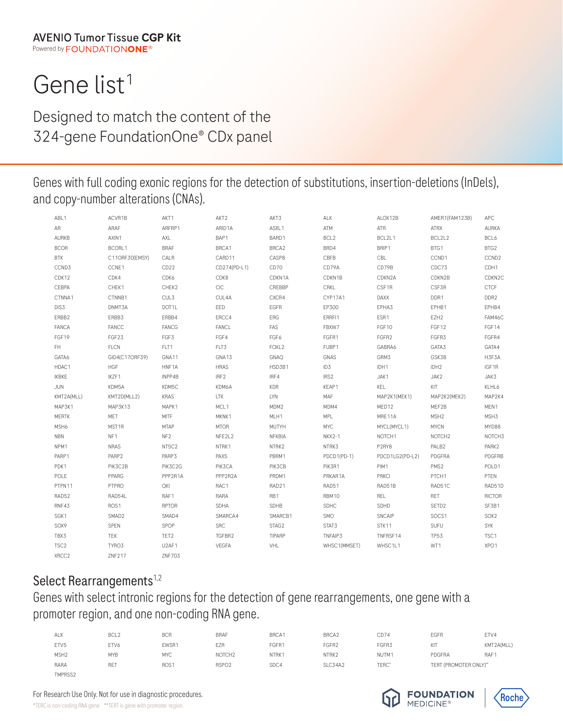# Gene list<sup>1</sup>

Designed to match the content of the 324-gene FoundationOne® CDx panel

Genes with full coding exonic regions for the detection of substitutions, insertion-deletions (InDels), and copy-number alterations (CNAs).

| ABL1             | ACVR1B            | AKT1             | AKT2             | AKT3              | ALK              | ALOX12B            | AMER1(FAM123B)     | <b>APC</b>         |
|------------------|-------------------|------------------|------------------|-------------------|------------------|--------------------|--------------------|--------------------|
| AR               | ARAF              | ARFRP1           | ARID1A           | ASXL1             | ATM              | ATR                | <b>ATRX</b>        | <b>AURKA</b>       |
| <b>AURKB</b>     | AXIN1             | AXL              | BAP1             | BARD1             | BCL <sub>2</sub> | BCL2L1             | BCL2L2             | BCL6               |
| <b>BCOR</b>      | BCORL1            | <b>BRAF</b>      | BRCA1            | BRCA2             | BRD4             | BRIP1              | BTG1               | BTG2               |
| <b>BTK</b>       | C11ORF30(EMSY)    | CALR             | CARD11           | CASP8             | CBFB             | CBL                | CCND1              | CCND <sub>2</sub>  |
| CCND3            | CCNE1             | CD <sub>22</sub> | CD274(PD-L1)     | CD70              | CD79A            | CD79B              | CDC73              | CDH1               |
| CDK12            | CDK4              | CDK6             | CDK8             | CDKN1A            | CDKN1B           | CDKN2A             | CDKN2B             | CDKN <sub>2C</sub> |
| CEBPA            | CHEK1             | CHEK2            | CIC              | CREBBP            | CRKL             | CSF1R              | CSF3R              | <b>CTCF</b>        |
| CTNNA1           | CTNNB1            | CUL3             | CUL4A            | CXCR4             | CYP17A1          | DAXX               | DDR1               | DDR <sub>2</sub>   |
| DIS3             | DNMT3A            | DOT1L            | EED              | EGFR              | EP300            | EPHA3              | EPHB1              | EPHB4              |
| ERBB2            | ERBB3             | ERBB4            | ERCC4            | ERG               | ERRFI1           | ESR1               | EZH <sub>2</sub>   | FAM46C             |
| <b>FANCA</b>     | FANCC             | FANCG            | FANCL            | FAS               | FBXW7            | FGF10              | FGF12              | FGF14              |
| FGF19            | FGF23             | FGF3             | FGF4             | FGF6              | FGFR1            | FGFR2              | FGFR3              | FGFR4              |
| FH.              | FLCN              | FLT1             | FLT3             | FOXL <sub>2</sub> | FUBP1            | GABRA6             | GATA3              | GATA4              |
| GATA6            | GID4(C17ORF39)    | GNA11            | GNA13            | <b>GNAQ</b>       | <b>GNAS</b>      | GRM3               | GSK3B              | H3F3A              |
| HDAC1            | <b>HGF</b>        | HNF1A            | <b>HRAS</b>      | HSD3B1            | ID <sub>3</sub>  | IDH1               | IDH <sub>2</sub>   | IGF1R              |
| <b>IKBKE</b>     | IKZF1             | INPP4B           | IRF <sub>2</sub> | IRF4              | IRS <sub>2</sub> | JAK1               | JAK2               | JAK3               |
| <b>JUN</b>       | KDM5A             | KDM5C            | KDM6A            | KDR               | KEAP1            | KEL                | KIT                | KLHL6              |
| KMT2A(MLL)       | KMT2D(MLL2)       | <b>KRAS</b>      | <b>LTK</b>       | <b>LYN</b>        | MAF              | MAP2K1(MEK1)       | MAP2K2(MEK2)       | MAP2K4             |
| MAP3K1           | MAP3K13           | MAPK1            | MCL1             | MDM2              | MDM4             | MED12              | MEF2B              | MEN1               |
| <b>MERTK</b>     | MET               | MITF             | MKNK1            | MLH1              | <b>MPL</b>       | MRE11A             | MSH <sub>2</sub>   | MSH3               |
| MSH6             | MST1R             | <b>MTAP</b>      | <b>MTOR</b>      | MUTYH             | <b>MYC</b>       | MYCL(MYCL1)        | <b>MYCN</b>        | MYD88              |
| <b>NBN</b>       | NF1               | NF <sub>2</sub>  | NFE2L2           | NFKBIA            | NKX2-1           | NOTCH <sub>1</sub> | NOTCH <sub>2</sub> | NOTCH3             |
| NPM1             | <b>NRAS</b>       | NT5C2            | NTRK1            | NTRK2             | NTRK3            | P2RY8              | PALB <sub>2</sub>  | PARK2              |
| PARP1            | PARP <sub>2</sub> | PARP3            | PAX <sub>5</sub> | PBRM1             | PDCD1(PD-1)      | PDCD1LG2(PD-L2)    | PDGFRA             | PDGFRB             |
| PDK1             | PIK3C2B           | PIK3C2G          | PIK3CA           | PIK3CB            | PIK3R1           | PIM1               | PMS2               | POLD1              |
| POLE             | PPARG             | PPP2R1A          | PPP2R2A          | PRDM1             | PRKAR1A          | PRKCI              | PTCH1              | PTEN               |
| PTPN11           | PTPRO             | QKI              | RAC1             | RAD21             | RAD51            | RAD51B             | RAD51C             | RAD51D             |
| RAD52            | RAD54L            | RAF1             | RARA             | RB1               | RBM10            | REL                | RET                | <b>RICTOR</b>      |
| RNF43            | ROS1              | RPTOR            | <b>SDHA</b>      | <b>SDHB</b>       | <b>SDHC</b>      | SDHD               | SETD2              | SF3B1              |
| SGK1             | SMAD2             | SMAD4            | SMARCA4          | SMARCB1           | SMO              | SNCAIP             | SOCS1              | SOX2               |
| SOX9             | SPEN              | SPOP             | <b>SRC</b>       | STAG2             | STAT3            | STK11              | SUFU               | <b>SYK</b>         |
| TBX3             | TEK               | TET2             | TGFBR2           | TIPARP            | TNFAIP3          | TNFRSF14           | <b>TP53</b>        | TSC1               |
| TSC <sub>2</sub> | TYRO3             | U2AF1            | VEGFA            | VHL               | WHSC1(MMSET)     | WHSC1L1            | WT1                | XPO1               |
| XRCC2            | ZNF217            | ZNF703           |                  |                   |                  |                    |                    |                    |

## Select Rearrangements<sup>1,2</sup>

## Genes with select intronic regions for the detection of gene rearrangements, one gene with a promoter region, and one non-coding RNA gene.

| ALK              | BCL <sub>2</sub> | <b>BCR</b>       | <b>BRAF</b>        | BRCA1 | BRCA2   | CD74  | <b>EGFR</b>            | ETV4             |
|------------------|------------------|------------------|--------------------|-------|---------|-------|------------------------|------------------|
| ETV <sub>5</sub> | ETV6             | EWSR1            | EZR                | FGFR1 | FGFR2   | FGFR3 | KIT                    | KMT2A(MLL)       |
| MSH <sub>2</sub> | <b>MYB</b>       | <b>MYC</b>       | NOTCH <sub>2</sub> | NTRK1 | NTRK2   | NUTM1 | PDGFRA                 | RAF <sup>1</sup> |
| RARA             | <b>RET</b>       | ROS <sub>1</sub> | RSPO <sub>2</sub>  | SDC4  | SLC34A2 | TERC* | TERT (PROMOTER ONLY)** |                  |
| TMPRSS2          |                  |                  |                    |       |         |       |                        |                  |

For Research Use Only. Not for use in diagnostic procedures.

\*TERC is non-coding RNA gene \*\*TERT is gene with promoter region.